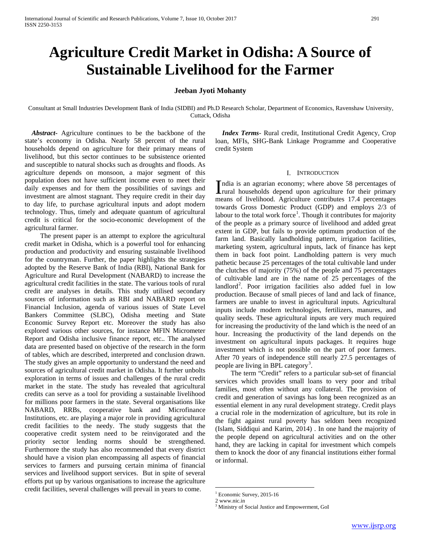# **Agriculture Credit Market in Odisha: A Source of Sustainable Livelihood for the Farmer**

## **Jeeban Jyoti Mohanty**

Consultant at Small Industries Development Bank of India (SIDBI) and Ph.D Research Scholar, Department of Economics, Ravenshaw University, Cuttack, Odisha

 *Abstract***-** Agriculture continues to be the backbone of the state's economy in Odisha. Nearly 58 percent of the rural households depend on agriculture for their primary means of livelihood, but this sector continues to be subsistence oriented and susceptible to natural shocks such as droughts and floods. As agriculture depends on monsoon, a major segment of this population does not have sufficient income even to meet their daily expenses and for them the possibilities of savings and investment are almost stagnant. They require credit in their day to day life, to purchase agricultural inputs and adopt modern technology. Thus, timely and adequate quantum of agricultural credit is critical for the socio-economic development of the agricultural farmer.

 The present paper is an attempt to explore the agricultural credit market in Odisha, which is a powerful tool for enhancing production and productivity and ensuring sustainable livelihood for the countryman. Further, the paper highlights the strategies adopted by the Reserve Bank of India (RBI), National Bank for Agriculture and Rural Development (NABARD) to increase the agricultural credit facilities in the state. The various tools of rural credit are analyses in details. This study utilised secondary sources of information such as RBI and NABARD report on Financial Inclusion, agenda of various issues of State Level Bankers Committee (SLBC), Odisha meeting and State Economic Survey Report etc. Moreover the study has also explored various other sources, for instance MFIN Micrometer Report and Odisha inclusive finance report, etc.. The analysed data are presented based on objective of the research in the form of tables, which are described, interpreted and conclusion drawn. The study gives an ample opportunity to understand the need and sources of agricultural credit market in Odisha. It further unbolts exploration in terms of issues and challenges of the rural credit market in the state. The study has revealed that agricultural credits can serve as a tool for providing a sustainable livelihood for millions poor farmers in the state. Several organisations like NABARD, RRBs, cooperative bank and Microfinance Institutions, etc. are playing a major role in providing agricultural credit facilities to the needy. The study suggests that the cooperative credit system need to be reinvigorated and the priority sector lending norms should be strengthened. Furthermore the study has also recommended that every district should have a vision plan encompassing all aspects of financial services to farmers and pursuing certain minima of financial services and livelihood support services. But in spite of several efforts put up by various organisations to increase the agriculture credit facilities, several challenges will prevail in years to come.

 *Index Terms*- Rural credit, Institutional Credit Agency, Crop loan, MFIs, SHG-Bank Linkage Programme and Cooperative credit System

#### I. INTRODUCTION

ndia is an agrarian economy; where above 58 percentages of India is an agrarian economy; where above 58 percentages of<br>Irural households depend upon agriculture for their primary means of livelihood. Agriculture contributes 17.4 percentages towards Gross Domestic Product (GDP) and employs 2/3 of labour to the total work force<sup>[1](#page-0-0)</sup>. Though it contributes for majority of the people as a primary source of livelihood and added great extent in GDP, but fails to provide optimum production of the farm land. Basically landholding pattern, irrigation facilities, marketing system, agricultural inputs, lack of finance has kept them in back foot point. Landholding pattern is very much pathetic because 25 percentages of the total cultivable land under the clutches of majority (75%) of the people and 75 percentages of cultivable land are in the name of 25 percentages of the landlord<sup>[2](#page-0-1)</sup>. Poor irrigation facilities also added fuel in low production. Because of small pieces of land and lack of finance, farmers are unable to invest in agricultural inputs. Agricultural inputs include modern technologies, fertilizers, manures, and quality seeds. These agricultural inputs are very much required for increasing the productivity of the land which is the need of an hour. Increasing the productivity of the land depends on the investment on agricultural inputs packages. It requires huge investment which is not possible on the part of poor farmers. After 70 years of independence still nearly 27.5 percentages of people are living in BPL category<sup>[3](#page-0-2)</sup>.

 The term "Credit" refers to a particular sub-set of financial services which provides small loans to very poor and tribal families, most often without any collateral. The provision of credit and generation of savings has long been recognized as an essential element in any rural development strategy. Credit plays a crucial role in the modernization of agriculture, but its role in the fight against rural poverty has seldom been recognized (Islam, Siddiqui and Karim, 2014) . In one hand the majority of the people depend on agricultural activities and on the other hand, they are lacking in capital for investment which compels them to knock the door of any financial institutions either formal or informal.

 $1$  Economic Survey, 2015-16<br>2 www.nic.in

<span id="page-0-2"></span><span id="page-0-1"></span><span id="page-0-0"></span>

<sup>&</sup>lt;sup>3</sup> Ministry of Social Justice and Empowerment, GoI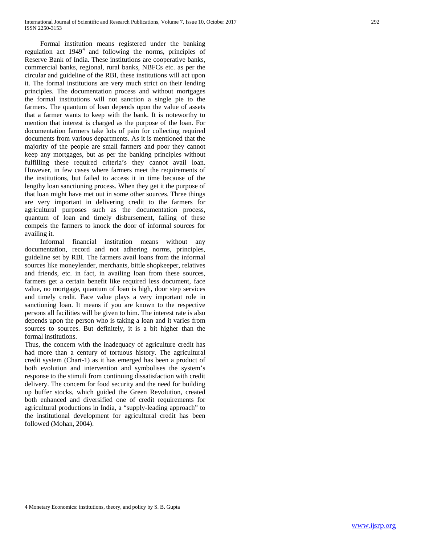Formal institution means registered under the banking regulation act  $1949<sup>4</sup>$  $1949<sup>4</sup>$  $1949<sup>4</sup>$  and following the norms, principles of Reserve Bank of India. These institutions are cooperative banks, commercial banks, regional, rural banks, NBFCs etc. as per the circular and guideline of the RBI, these institutions will act upon it. The formal institutions are very much strict on their lending principles. The documentation process and without mortgages the formal institutions will not sanction a single pie to the farmers. The quantum of loan depends upon the value of assets that a farmer wants to keep with the bank. It is noteworthy to mention that interest is charged as the purpose of the loan. For documentation farmers take lots of pain for collecting required documents from various departments. As it is mentioned that the majority of the people are small farmers and poor they cannot keep any mortgages, but as per the banking principles without fulfilling these required criteria's they cannot avail loan. However, in few cases where farmers meet the requirements of the institutions, but failed to access it in time because of the lengthy loan sanctioning process. When they get it the purpose of that loan might have met out in some other sources. Three things are very important in delivering credit to the farmers for agricultural purposes such as the documentation process, quantum of loan and timely disbursement, falling of these compels the farmers to knock the door of informal sources for availing it.

 Informal financial institution means without any documentation, record and not adhering norms, principles, guideline set by RBI. The farmers avail loans from the informal sources like moneylender, merchants, bittle shopkeeper, relatives and friends, etc. in fact, in availing loan from these sources, farmers get a certain benefit like required less document, face value, no mortgage, quantum of loan is high, door step services and timely credit. Face value plays a very important role in sanctioning loan. It means if you are known to the respective persons all facilities will be given to him. The interest rate is also depends upon the person who is taking a loan and it varies from sources to sources. But definitely, it is a bit higher than the formal institutions.

Thus, the concern with the inadequacy of agriculture credit has had more than a century of tortuous history. The agricultural credit system (Chart-1) as it has emerged has been a product of both evolution and intervention and symbolises the system's response to the stimuli from continuing dissatisfaction with credit delivery. The concern for food security and the need for building up buffer stocks, which guided the Green Revolution, created both enhanced and diversified one of credit requirements for agricultural productions in India, a "supply-leading approach" to the institutional development for agricultural credit has been followed (Mohan, 2004).

<span id="page-1-0"></span> <sup>4</sup> Monetary Economics: institutions, theory, and policy by S. B. Gupta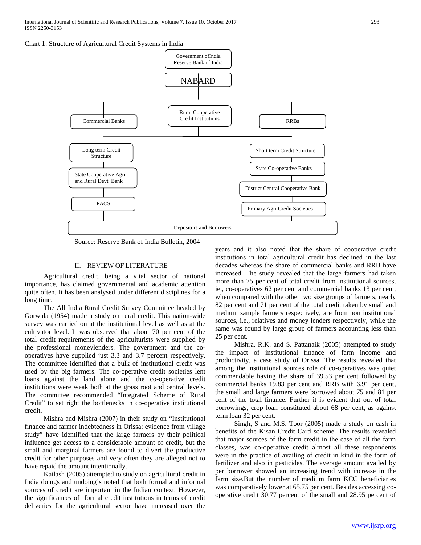

Source: Reserve Bank of India Bulletin, 2004

#### II. REVIEW OF LITERATURE

 Agricultural credit, being a vital sector of national importance, has claimed governmental and academic attention quite often. It has been analysed under different disciplines for a long time.

 The All India Rural Credit Survey Committee headed by Gorwala (1954) made a study on rural credit. This nation-wide survey was carried on at the institutional level as well as at the cultivator level. It was observed that about 70 per cent of the total credit requirements of the agriculturists were supplied by the professional moneylenders. The government and the cooperatives have supplied just 3.3 and 3.7 percent respectively. The committee identified that a bulk of institutional credit was used by the big farmers. The co-operative credit societies lent loans against the land alone and the co-operative credit institutions were weak both at the grass root and central levels. The committee recommended "Integrated Scheme of Rural Credit" to set right the bottlenecks in co-operative institutional credit.

 Mishra and Mishra (2007) in their study on "Institutional finance and farmer indebtedness in Orissa: evidence from village study" have identified that the large farmers by their political influence get access to a considerable amount of credit, but the small and marginal farmers are found to divert the productive credit for other purposes and very often they are alleged not to have repaid the amount intentionally.

 Kailash (2005) attempted to study on agricultural credit in India doings and undoing's noted that both formal and informal sources of credit are important in the Indian context. However, the significances of formal credit institutions in terms of credit deliveries for the agricultural sector have increased over the years and it also noted that the share of cooperative credit institutions in total agricultural credit has declined in the last decades whereas the share of commercial banks and RRB have increased. The study revealed that the large farmers had taken more than 75 per cent of total credit from institutional sources, ie., co-operatives 62 per cent and commercial banks 13 per cent, when compared with the other two size groups of farmers, nearly 82 per cent and 71 per cent of the total credit taken by small and medium sample farmers respectively, are from non institutional sources, i.e., relatives and money lenders respectively, while the same was found by large group of farmers accounting less than 25 per cent.

 Mishra, R.K. and S. Pattanaik (2005) attempted to study the impact of institutional finance of farm income and productivity, a case study of Orissa. The results revealed that among the institutional sources role of co-operatives was quiet commendable having the share of 39.53 per cent followed by commercial banks 19.83 per cent and RRB with 6.91 per cent, the small and large farmers were borrowed about 75 and 81 per cent of the total finance. Further it is evident that out of total borrowings, crop loan constituted about 68 per cent, as against term loan 32 per cent.

 Singh, S and M.S. Toor (2005) made a study on cash in benefits of the Kisan Credit Card scheme. The results revealed that major sources of the farm credit in the case of all the farm classes, was co-operative credit almost all these respondents were in the practice of availing of credit in kind in the form of fertilizer and also in pesticides. The average amount availed by per borrower showed an increasing trend with increase in the farm size.But the number of medium farm KCC beneficiaries was comparatively lower at 65.75 per cent. Besides accessing cooperative credit 30.77 percent of the small and 28.95 percent of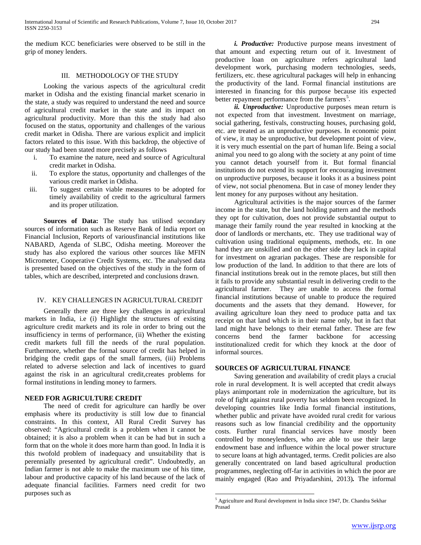the medium KCC beneficiaries were observed to be still in the grip of money lenders.

## III. METHODOLOGY OF THE STUDY

 Looking the various aspects of the agricultural credit market in Odisha and the existing financial market scenario in the state, a study was required to understand the need and source of agricultural credit market in the state and its impact on agricultural productivity. More than this the study had also focused on the status, opportunity and challenges of the various credit market in Odisha. There are various explicit and implicit factors related to this issue. With this backdrop, the objective of our study had been stated more precisely as follows

- i. To examine the nature, need and source of Agricultural credit market in Odisha.
- ii. To explore the status, opportunity and challenges of the various credit market in Odisha.
- iii. To suggest certain viable measures to be adopted for timely availability of credit to the agricultural farmers and its proper utilization.

 **Sources of Data:** The study has utilised secondary sources of information such as Reserve Bank of India report on Financial Inclusion, Reports of variousfinancial institutions like NABARD, Agenda of SLBC, Odisha meeting. Moreover the study has also explored the various other sources like MFIN Micrometer, Cooperative Credit Systems, etc. The analysed data is presented based on the objectives of the study in the form of tables, which are described, interpreted and conclusions drawn.

# IV. KEY CHALLENGES IN AGRICULTURAL CREDIT

 Generally there are three key challenges in agricultural markets in India, i.e (i) Highlight the structures of existing agriculture credit markets and its role in order to bring out the insufficiency in terms of performance, (ii) Whether the existing credit markets full fill the needs of the rural population. Furthermore, whether the formal source of credit has helped in bridging the credit gaps of the small farmers, (iii) Problems related to adverse selection and lack of incentives to guard against the risk in an agricultural credit,creates problems for formal institutions in lending money to farmers.

## **NEED FOR AGRICULTURE CREDIT**

<span id="page-3-0"></span> The need of credit for agriculture can hardly be over emphasis where its productivity is still low due to financial constraints. In this context, All Rural Credit Survey has observed: "Agricultural credit is a problem when it cannot be obtained; it is also a problem when it can be had but in such a form that on the whole it does more harm than good. In India it is this twofold problem of inadequacy and unsuitability that is perennially presented by agricultural credit". Undoubtedly, an Indian farmer is not able to make the maximum use of his time, labour and productive capacity of his land because of the lack of adequate financial facilities. Farmers need credit for two purposes such as

 *i. Productive:* Productive purpose means investment of that amount and expecting return out of it. Investment of productive loan on agriculture refers agricultural land development work, purchasing modern technologies, seeds, fertilizers, etc. these agricultural packages will help in enhancing the productivity of the land. Formal financial institutions are interested in financing for this purpose because itis expected better repayment performance from the farmers<sup>[5](#page-1-0)</sup>.

 *ii. Unproductive:* Unproductive purposes mean return is not expected from that investment. Investment on marriage, social gathering, festivals, constructing houses, purchasing gold, etc. are treated as an unproductive purposes. In economic point of view, it may be unproductive, but development point of view, it is very much essential on the part of human life. Being a social animal you need to go along with the society at any point of time you cannot detach yourself from it. But formal financial institutions do not extend its support for encouraging investment on unproductive purposes, because it looks it as a business point of view, not social phenomena. But in case of money lender they lent money for any purposes without any hesitation.

 Agricultural activities is the major sources of the farmer income in the state, but the land holding pattern and the methods they opt for cultivation, does not provide substantial output to manage their family round the year resulted in knocking at the door of landlords or merchants, etc. They use traditional way of cultivation using traditional equipments, methods, etc. In one hand they are unskilled and on the other side they lack in capital for investment on agrarian packages. These are responsible for low production of the land. In addition to that there are lots of financial institutions break out in the remote places, but still then it fails to provide any substantial result in delivering credit to the agricultural farmer. They are unable to access the formal financial institutions because of unable to produce the required documents and the assets that they demand. However, for availing agriculture loan they need to produce patta and tax receipt on that land which is in their name only, but in fact that land might have belongs to their eternal father. These are few concerns bend the farmer backbone for accessing concerns bend the farmer backbone for accessing institutionalized credit for which they knock at the door of informal sources.

## **SOURCES OF AGRICULTURAL FINANCE**

 Saving generation and availability of credit plays a crucial role in rural development. It is well accepted that credit always plays animportant role in modernization the agriculture, but its role of fight against rural poverty has seldom been recognized. In developing countries like India formal financial institutions, whether public and private have avoided rural credit for various reasons such as low financial credibility and the opportunity costs. Further rural financial services have mostly been controlled by moneylenders, who are able to use their large endowment base and influence within the local power structure to secure loans at high advantaged, terms. Credit policies are also generally concentrated on land based agricultural production programmes, neglecting off-far in activities in which the poor are mainly engaged (Rao and Priyadarshini, 2013)*.* The informal

<sup>&</sup>lt;sup>5</sup> Agriculture and Rural development in India since 1947, Dr. Chandra Sekhar Prasad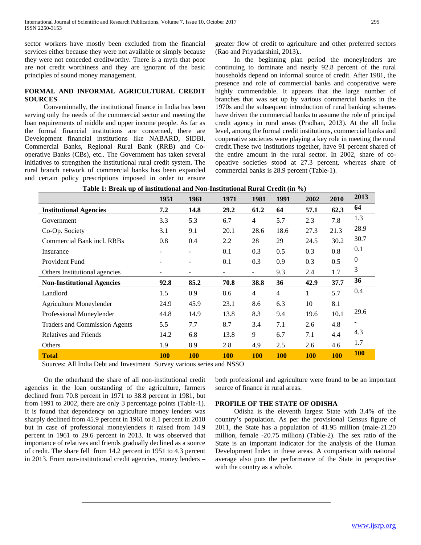sector workers have mostly been excluded from the financial services either because they were not available or simply because they were not conceded creditworthy. There is a myth that poor are not credit worthiness and they are ignorant of the basic principles of sound money management.

## **FORMAL AND INFORMAL AGRICULTURAL CREDIT SOURCES**

 Conventionally, the institutional finance in India has been serving only the needs of the commercial sector and meeting the loan requirements of middle and upper income people. As far as the formal financial institutions are concerned, there are Development financial institutions like NABARD, SIDBI, Commercial Banks, Regional Rural Bank (RRB) and Cooperative Banks (CBs), etc.. The Government has taken several initiatives to strengthen the institutional rural credit system. The rural branch network of commercial banks has been expanded and certain policy prescriptions imposed in order to ensure greater flow of credit to agriculture and other preferred sectors (Rao and Priyadarshini, 2013)*.*.

 In the beginning plan period the moneylenders are continuing to dominate and nearly 92.8 percent of the rural households depend on informal source of credit. After 1981, the presence and role of commercial banks and cooperative were highly commendable. It appears that the large number of branches that was set up by various commercial banks in the 1970s and the subsequent introduction of rural banking schemes have driven the commercial banks to assume the role of principal credit agency in rural areas (Pradhan, 2013). At the all India level, among the formal credit institutions, commercial banks and cooperative societies were playing a key role in meeting the rural credit.These two institutions together, have 91 percent shared of the entire amount in the rural sector. In 2002, share of coopeative societies stood at 27.3 percent, whereas share of commercial banks is 28.9 percent (Table-1).

|                                           | 1951       | 1961                     | 1971                  | 1981                     | 1991           | 2002       | 2010       | 2013             |
|-------------------------------------------|------------|--------------------------|-----------------------|--------------------------|----------------|------------|------------|------------------|
| <b>Institutional Agencies</b>             | 7.2        | 14.8                     | 29.2                  | 61.2                     | 64             | 57.1       | 62.3       | 64               |
| Government                                | 3.3        | 5.3                      | 6.7                   | 4                        | 5.7            | 2.3        | 7.8        | 1.3              |
| Co-Op. Society                            | 3.1        | 9.1                      | 20.1                  | 28.6                     | 18.6           | 27.3       | 21.3       | 28.9             |
| Commercial Bank incl. RRBs                | 0.8        | 0.4                      | 2.2                   | 28                       | 29             | 24.5       | 30.2       | 30.7             |
| Insurance                                 |            | $\overline{\phantom{0}}$ | 0.1                   | 0.3                      | 0.5            | 0.3        | 0.8        | 0.1              |
| Provident Fund                            |            |                          | 0.1                   | 0.3                      | 0.9            | 0.3        | 0.5        | $\boldsymbol{0}$ |
| Others Institutional agencies             |            | $\overline{\phantom{a}}$ | ۰                     | $\overline{\phantom{a}}$ | 9.3            | 2.4        | 1.7        | 3                |
| <b>Non-Institutional Agencies</b>         | 92.8       | 85.2                     | 70.8                  | 38.8                     | 36             | 42.9       | 37.7       | 36               |
| Landlord                                  | 1.5        | 0.9                      | 8.6                   | 4                        | $\overline{4}$ | 1          | 5.7        | 0.4              |
| Agriculture Moneylender                   | 24.9       | 45.9                     | 23.1                  | 8.6                      | 6.3            | 10         | 8.1        |                  |
| Professional Moneylender                  | 44.8       | 14.9                     | 13.8                  | 8.3                      | 9.4            | 19.6       | 10.1       | 29.6             |
| <b>Traders and Commission Agents</b>      | 5.5        | 7.7                      | 8.7                   | 3.4                      | 7.1            | 2.6        | 4.8        |                  |
| <b>Relatives and Friends</b>              | 14.2       | 6.8                      | 13.8                  | 9                        | 6.7            | 7.1        | 4.4        | 4.3              |
| Others                                    | 1.9        | 8.9                      | 2.8                   | 4.9                      | 2.5            | 2.6        | 4.6        | 1.7              |
| <b>Total</b><br>$111T$ $1'$ $T$ $1'$ $1T$ | <b>100</b> | <b>100</b>               | <b>100</b><br>1.37000 | <b>100</b>               | <b>100</b>     | <b>100</b> | <b>100</b> | <b>100</b>       |

Sources: All India Debt and Investment Survey various series and NSSO

 On the otherhand the share of all non-institutional credit agencies in the loan outstanding of the agriculture, farmers declined from 70.8 percent in 1971 to 38.8 percent in 1981, but from 1991 to 2002, there are only 3 percentage points (Table-1). It is found that dependency on agriculture money lenders was sharply declined from 45.9 percent in 1961 to 8.1 percent in 2010 but in case of professional moneylenders it raised from 14.9 percent in 1961 to 29.6 percent in 2013. It was observed that importance of relatives and friends gradually declined as a source of credit. The share fell from 14.2 percent in 1951 to 4.3 percent in 2013. From non-institutional credit agencies, money lenders –

both professional and agriculture were found to be an important source of finance in rural areas.

## **PROFILE OF THE STATE OF ODISHA**

 Odisha is the eleventh largest State with 3.4% of the country's population. As per the provisional Census figure of 2011, the State has a population of 41.95 million (male-21.20 million, female -20.75 million) (Table-2). The sex ratio of the State is an important indicator for the analysis of the Human Development Index in these areas. A comparison with national average also puts the performance of the State in perspective with the country as a whole.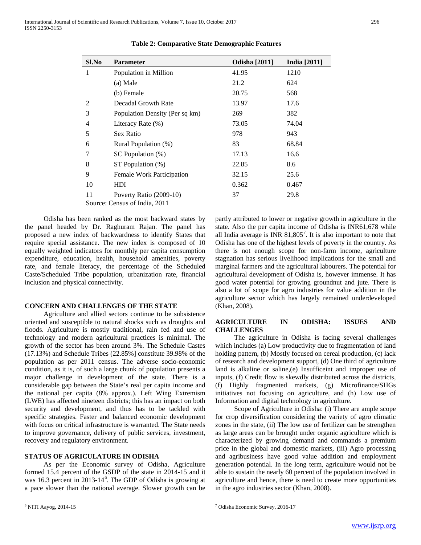| Sl.No | <b>Parameter</b>               | <b>Odisha</b> [2011] | <b>India</b> [2011] |
|-------|--------------------------------|----------------------|---------------------|
| 1     | Population in Million          | 41.95                | 1210                |
|       | (a) Male                       | 21.2                 | 624                 |
|       | (b) Female                     | 20.75                | 568                 |
| 2     | Decadal Growth Rate            | 13.97                | 17.6                |
| 3     | Population Density (Per sq km) | 269                  | 382                 |
| 4     | Literacy Rate (%)              | 73.05                | 74.04               |
| 5     | Sex Ratio                      | 978                  | 943                 |
| 6     | Rural Population (%)           | 83                   | 68.84               |
| 7     | SC Population (%)              | 17.13                | 16.6                |
| 8     | ST Population (%)              | 22.85                | 8.6                 |
| 9     | Female Work Participation      | 32.15                | 25.6                |
| 10    | HDI                            | 0.362                | 0.467               |
| 11    | Poverty Ratio (2009-10)        | 37                   | 29.8                |

**Table 2: Comparative State Demographic Features**

Source: Census of India, 2011

 Odisha has been ranked as the most backward states by the panel headed by Dr. Raghuram Rajan. The panel has proposed a new index of backwardness to identify States that require special assistance. The new index is composed of 10 equally weighted indicators for monthly per capita consumption expenditure, education, health, household amenities, poverty rate, and female literacy, the percentage of the Scheduled Caste/Scheduled Tribe population, urbanization rate, financial inclusion and physical connectivity.

## **CONCERN AND CHALLENGES OF THE STATE**

 Agriculture and allied sectors continue to be subsistence oriented and susceptible to natural shocks such as droughts and floods. Agriculture is mostly traditional, rain fed and use of technology and modern agricultural practices is minimal. The growth of the sector has been around 3%. The Schedule Castes (17.13%) and Schedule Tribes (22.85%] constitute 39.98% of the population as per 2011 census. The adverse socio-economic condition, as it is, of such a large chunk of population presents a major challenge in development of the state. There is a considerable gap between the State's real per capita income and the national per capita (8% approx.). Left Wing Extremism (LWE) has affected nineteen districts; this has an impact on both security and development, and thus has to be tackled with specific strategies. Faster and balanced economic development with focus on critical infrastructure is warranted. The State needs to improve governance, delivery of public services, investment, recovery and regulatory environment.

#### **STATUS OF AGRICULATURE IN ODISHA**

 As per the Economic survey of Odisha, Agriculture formed 15.4 percent of the GSDP of the state in 2014-15 and it was 1[6](#page-3-0).3 percent in 2013-14<sup>6</sup>. The GDP of Odisha is growing at a pace slower than the national average. Slower growth can be

partly attributed to lower or negative growth in agriculture in the state. Also the per capita income of Odisha is INR61,678 while all India average is INR  $81,805^7$  $81,805^7$ . It is also important to note that Odisha has one of the highest levels of poverty in the country. As there is not enough scope for non-farm income, agriculture stagnation has serious livelihood implications for the small and marginal farmers and the agricultural labourers. The potential for agricultural development of Odisha is, however immense. It has good water potential for growing groundnut and jute. There is also a lot of scope for agro industries for value addition in the agriculture sector which has largely remained underdeveloped (Khan, 2008).

## **AGRICULTURE IN ODISHA: ISSUES AND CHALLENGES**

 The agriculture in Odisha is facing several challenges which includes (a) Low productivity due to fragmentation of land holding pattern, (b) Mostly focused on cereal production, (c) lack of research and development support, (d) One third of agriculture land is alkaline or saline,(e) Insufficeint and improper use of inputs, (f) Credit flow is skewdly distributed across the districts, (f) Highly fragmented markets, (g) Microfinance/SHGs initiatives not focusing on agriculture, and (h) Low use of Information and digital technology in agriculture.

 Scope of Agriculture in Odisha: (i) There are ample scope for crop diversification considering the variety of agro climatic zones in the state, (ii) The low use of fertilizer can be strengthen as large areas can be brought under organic agriculture which is characterized by growing demand and commands a premium price in the global and domestic markets, (iii) Agro processing and agribusiness have good value addition and employment generation potential. In the long term, agriculture would not be able to sustain the nearly 60 percent of the population involved in agriculture and hence, there is need to create more opportunities in the agro industries sector (Khan, 2008).

<span id="page-5-0"></span> <sup>6</sup> NITI Aayog, 2014-15

 <sup>7</sup> Odisha Economic Survey, 2016-17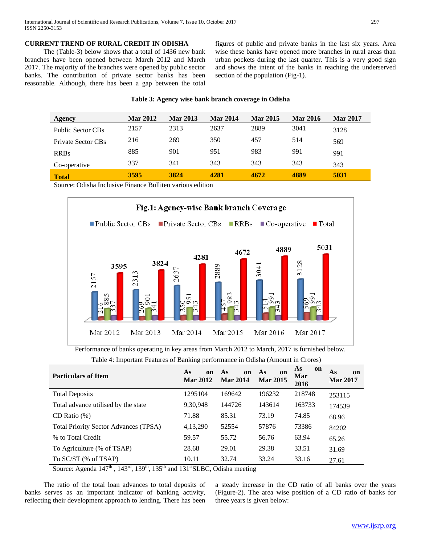## **CURRENT TREND OF RURAL CREDIT IN ODISHA**

 The (Table-3) below shows that a total of 1436 new bank branches have been opened between March 2012 and March 2017. The majority of the branches were opened by public sector banks. The contribution of private sector banks has been reasonable. Although, there has been a gap between the total

figures of public and private banks in the last six years. Area wise these banks have opened more branches in rural areas than urban pockets during the last quarter. This is a very good sign and shows the intent of the banks in reaching the underserved section of the population (Fig-1).

#### **Table 3: Agency wise bank branch coverage in Odisha**

| Agency             | <b>Mar 2012</b> | <b>Mar 2013</b> | <b>Mar 2014</b> | <b>Mar 2015</b> | <b>Mar 2016</b> | <b>Mar 2017</b> |
|--------------------|-----------------|-----------------|-----------------|-----------------|-----------------|-----------------|
| Public Sector CBs  | 2157            | 2313            | 2637            | 2889            | 3041            | 3128            |
| Private Sector CBs | 216             | 269             | 350             | 457             | 514             | 569             |
| <b>RRBs</b>        | 885             | 901             | 951             | 983             | 991             | 991             |
| Co-operative       | 337             | 341             | 343             | 343             | 343             | 343             |
| <b>Total</b>       | 3595            | 3824            | 4281            | 4672            | 4889            | 5031            |

Source: Odisha Inclusive Finance Bulliten various edition



Performance of banks operating in key areas from March 2012 to March, 2017 is furnished below.

Table 4: Important Features of Banking performance in Odisha (Amount in Crores)

| <b>Particulars of Item</b>                                | As<br><sub>on</sub><br><b>Mar 2012</b> | As<br>on<br><b>Mar 2014</b> | As<br>on<br><b>Mar 2015</b> | As<br>on<br>Mar<br>2016 | As<br>on<br><b>Mar 2017</b> |
|-----------------------------------------------------------|----------------------------------------|-----------------------------|-----------------------------|-------------------------|-----------------------------|
| <b>Total Deposits</b>                                     | 1295104                                | 169642                      | 196232                      | 218748                  | 253115                      |
| Total advance utilised by the state                       | 9,30,948                               | 144726                      | 143614                      | 163733                  | 174539                      |
| CD Ratio $(\%)$                                           | 71.88                                  | 85.31                       | 73.19                       | 74.85                   | 68.96                       |
| <b>Total Priority Sector Advances (TPSA)</b>              | 4,13,290                               | 52554                       | 57876                       | 73386                   | 84202                       |
| % to Total Credit                                         | 59.57                                  | 55.72                       | 56.76                       | 63.94                   | 65.26                       |
| To Agriculture (% of TSAP)                                | 28.68                                  | 29.01                       | 29.38                       | 33.51                   | 31.69                       |
| To SC/ST (% of TSAP)<br>$-1$<br>$\cdot$ 1<br>$\mathbf{1}$ | 10.11                                  | 32.74                       | 33.24                       | 33.16                   | 27.61                       |

Source: Agenda  $147^{\text{th}}$ ,  $143^{\text{rd}}$ ,  $139^{\text{th}}$ ,  $135^{\text{th}}$  and  $131^{\text{st}}$ SLBC, Odisha meeting

 The ratio of the total loan advances to total deposits of banks serves as an important indicator of banking activity, reflecting their development approach to lending. There has been a steady increase in the CD ratio of all banks over the years (Figure-2). The area wise position of a CD ratio of banks for three years is given below: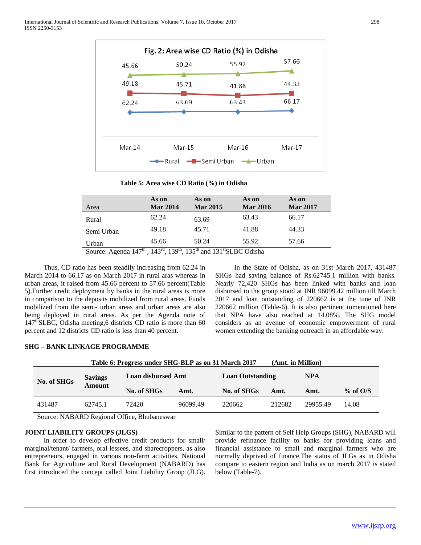

#### **Table 5: Area wise CD Ratio (%) in Odisha**

|                                                        | As on                  | As on                                     | As on           | As on           |
|--------------------------------------------------------|------------------------|-------------------------------------------|-----------------|-----------------|
| Area                                                   | <b>Mar 2014</b>        | <b>Mar 2015</b>                           | <b>Mar 2016</b> | <b>Mar 2017</b> |
| Rural                                                  | 62.24                  | 63.69                                     | 63.43           | 66.17           |
| Semi Urban                                             | 49.18                  | 45.71                                     | 41.88           | 44.33           |
| Urban                                                  | 45.66                  | 50.24                                     | 55.92           | 57.66           |
| $\rightarrow$ $\rightarrow$ $\rightarrow$ th<br>$\sim$ | 1.00<br>$100th$ $10th$ | $1.121$ star pa $\alpha$ $\alpha$ $\beta$ |                 |                 |

Source: Agenda  $147^{\circ}$ ,  $143^{\circ}$ ,  $139^{\circ}$ ,  $135^{\circ}$  and  $131^{\circ}$ SLBC Odisha

 Thus, CD ratio has been steadily increasing from 62.24 in March 2014 to 66.17 as on March 2017 in rural aras whereas in urban areas, it raised from 45.66 percent to 57.66 percent(Table 5).Further credit deployment by banks in the rural areas is more in comparison to the deposits mobilized from rural areas. Funds mobilized from the semi- urban areas and urban areas are also being deployed in rural areas. As per the Agenda note of  $147<sup>th</sup> SLBC$ , Odisha meeting, 6 districts CD ratio is more than 60 percent and 12 districts CD ratio is less than 40 percent.

 In the State of Odisha, as on 31st March 2017, 431487 SHGs had saving balance of Rs.62745.1 million with banks. Nearly 72,420 SHGs has been linked with banks and loan disbursed to the group stood at INR 96099.42 million till March 2017 and loan outstanding of 220662 is at the tune of INR 220662 million (Table-6). It is also pertinent tomentioned here that NPA have also reached at 14.08%. The SHG model considers as an avenue of economic empowerment of rural women extending the banking outreach in an affordable way.

# **SHG – BANK LINKAGE PROGRAMME**

|                                                                                                                                                                                                                                                                                                               |                | Table 6: Progress under SHG-BLP as on 31 March 2017 |          |                         | (Amt. in Million) |          |            |  |  |  |
|---------------------------------------------------------------------------------------------------------------------------------------------------------------------------------------------------------------------------------------------------------------------------------------------------------------|----------------|-----------------------------------------------------|----------|-------------------------|-------------------|----------|------------|--|--|--|
| No. of SHGs                                                                                                                                                                                                                                                                                                   | <b>Savings</b> | <b>Loan disbursed Amt</b>                           |          | <b>Loan Outstanding</b> |                   | NPA      |            |  |  |  |
|                                                                                                                                                                                                                                                                                                               | <b>Amount</b>  | No. of SHGs<br>Amt.                                 |          | No. of SHGs             | Amt.              | Amt.     | $%$ of O/S |  |  |  |
| 431487                                                                                                                                                                                                                                                                                                        | 62745.1        | 72420                                               | 96099.49 | 220662                  | 212682            | 29955.49 | 14.08      |  |  |  |
| $\alpha$ . The M and $\alpha$ m and $\alpha$ m and $\alpha$ m and $\alpha$ m and $\alpha$ m and $\alpha$ m and $\alpha$ m and $\alpha$ m and $\alpha$ m and $\alpha$ m and $\alpha$ m and $\alpha$ m and $\alpha$ m and $\alpha$ m and $\alpha$ m and $\alpha$ m and $\alpha$ m and $\alpha$ m and $\alpha$ m |                |                                                     |          |                         |                   |          |            |  |  |  |

Source: NABARD Regional Office, Bhubaneswar

## **JOINT LIABILITY GROUPS (JLGS)**

 In order to develop effective credit products for small/ marginal/tenant/ farmers, oral lessees, and sharecroppers, as also entrepreneurs, engaged in various non-farm activities, National Bank for Agriculture and Rural Development (NABARD) has first introduced the concept called Joint Liability Group (JLG). Similar to the pattern of Self Help Groups (SHG), NABARD will provide refinance facility to banks for providing loans and financial assistance to small and marginal farmers who are normally deprived of finance.The status of JLGs as in Odisha compare to eastern region and India as on march 2017 is stated below (Table-7).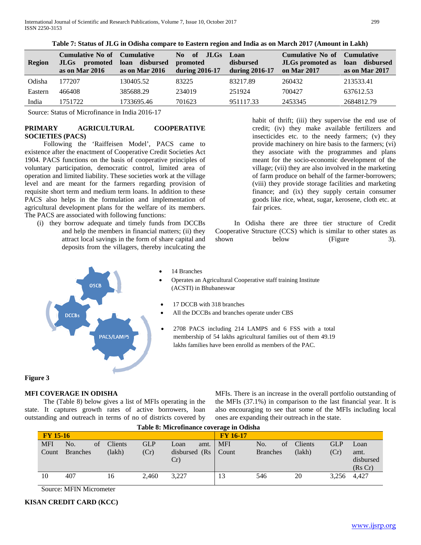| <b>Region</b> | <b>Cumulative No of Cumulative</b><br>promoted<br>JLGs<br>as on Mar 2016 | disbursed<br>loan<br>as on Mar 2016 | of<br>No.<br>JLGs<br>promoted<br>during $2016-17$ | Loan<br>disbursed<br>during 2016-17 | <b>Cumulative No of</b><br><b>JLGs</b> promoted as<br>on Mar 2017 | <b>Cumulative</b><br>disbursed<br>loan<br>as on Mar 2017 |
|---------------|--------------------------------------------------------------------------|-------------------------------------|---------------------------------------------------|-------------------------------------|-------------------------------------------------------------------|----------------------------------------------------------|
| Odisha        | 177207                                                                   | 130405.52                           | 83225                                             | 83217.89                            | 260432                                                            | 213533.41                                                |
| Eastern       | 466408                                                                   | 385688.29                           | 234019                                            | 251924                              | 700427                                                            | 637612.53                                                |
| India         | 1751722                                                                  | 1733695.46                          | 701623                                            | 951117.33                           | 2453345                                                           | 2684812.79                                               |

**Table 7: Status of JLG in Odisha compare to Eastern region and India as on March 2017 (Amount in Lakh)**

Source: Status of Microfinance in India 2016-17

# **PRIMARY AGRICULTURAL COOPERATIVE SOCIETIES (PACS)**

 Following the 'Raiffeisen Model', PACS came to existence after the enactment of Cooperative Credit Societies Act 1904. PACS functions on the basis of cooperative principles of voluntary participation, democratic control, limited area of operation and limited liability. These societies work at the village level and are meant for the farmers regarding provision of requisite short term and medium term loans. In addition to these PACS also helps in the formulation and implementation of agricultural development plans for the welfare of its members. The PACS are associated with following functions:

(i) they borrow adequate and timely funds from DCCBs and help the members in financial matters; (ii) they attract local savings in the form of share capital and deposits from the villagers, thereby inculcating the

habit of thrift; (iii) they supervise the end use of credit; (iv) they make available fertilizers and insecticides etc. to the needy farmers; (v) they provide machinery on hire basis to the farmers; (vi) they associate with the programmes and plans meant for the socio-economic development of the village; (vii) they are also involved in the marketing of farm produce on behalf of the farmer-borrowers; (viii) they provide storage facilities and marketing finance; and (ix) they supply certain consumer goods like rice, wheat, sugar, kerosene, cloth etc. at fair prices.

 In Odisha there are three tier structure of Credit Cooperative Structure (CCS) which is similar to other states as shown below (Figure 3).



- 14 Branches
- Operates an Agricultural Cooperative staff training Institute (ACSTI) in Bhubaneswar
- 17 DCCB with 318 branches
- All the DCCBs and branches operate under CBS
- 2708 PACS including 214 LAMPS and 6 FSS with a total membership of 54 lakhs agricultural families out of them 49.19 lakhs families have been enrolld as members of the PAC.

# **Figure 3**

# **MFI COVERAGE IN ODISHA**

 The (Table 8) below gives a list of MFIs operating in the state. It captures growth rates of active borrowers, loan outstanding and outreach in terms of no of districts covered by MFIs. There is an increase in the overall portfolio outstanding of the MFIs (37.1%) in comparison to the last financial year. It is also encouraging to see that some of the MFIs including local ones are expanding their outreach in the state.

| Table 8: Microfinance coverage in Odisha |                 |    |         |            |                  |      |                 |                 |    |                |            |           |
|------------------------------------------|-----------------|----|---------|------------|------------------|------|-----------------|-----------------|----|----------------|------------|-----------|
| <b>FY 15-16</b>                          |                 |    |         |            |                  |      | <b>FY 16-17</b> |                 |    |                |            |           |
| <b>MFI</b>                               | No.             | of | Clients | <b>GLP</b> | Loan             | amt. | <b>MFI</b>      | No.             | of | <b>Clients</b> | <b>GLP</b> | Loan      |
| Count                                    | <b>Branches</b> |    | (lakh)  | (Cr)       | disbursed $(Rs)$ |      | Count           | <b>Branches</b> |    | (lakh)         | (Cr)       | amt.      |
|                                          |                 |    |         |            | Cr)              |      |                 |                 |    |                |            | disbursed |
|                                          |                 |    |         |            |                  |      |                 |                 |    |                |            | (Rs Cr)   |
| 10                                       | 407             |    | 16      | 2.460      | 3,227            |      | 13              | 546             |    | 20             | 3,256      | 4.427     |
|                                          |                 |    |         |            |                  |      |                 |                 |    |                |            |           |

Source: MFIN Micrometer

## **KISAN CREDIT CARD (KCC)**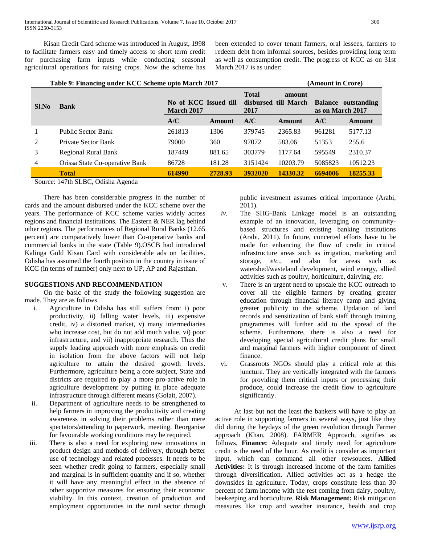Kisan Credit Card scheme was introduced in August, 1998 to facilitate farmers easy and timely access to short term credit for purchasing farm inputs while conducting seasonal agricultural operations for raising crops. Now the scheme has been extended to cover tenant farmers, oral lessees, farmers to redeem debt from informal sources, besides providing long term as well as consumption credit. The progress of KCC as on 31st March 2017 is as under:

|                | Table 9: Financing under KCC Scheme upto March 2017 |                                            |         | (Amount in Crore)    |                                |                                         |          |  |
|----------------|-----------------------------------------------------|--------------------------------------------|---------|----------------------|--------------------------------|-----------------------------------------|----------|--|
| Sl.No          | <b>Bank</b>                                         | No of KCC Issued till<br><b>March 2017</b> |         | <b>Total</b><br>2017 | amount<br>disbursed till March | Balance outstanding<br>as on March 2017 |          |  |
|                |                                                     | A/C                                        | Amount  | A/C                  | <b>Amount</b>                  | A/C                                     | Amount   |  |
|                | Public Sector Bank                                  | 261813                                     | 1306    | 379745               | 2365.83                        | 961281                                  | 5177.13  |  |
| 2              | Private Sector Bank                                 | 79000                                      | 360     | 97072                | 583.06                         | 51353                                   | 255.6    |  |
| 3              | <b>Regional Rural Bank</b>                          | 187449                                     | 881.65  | 303779               | 1177.64                        | 595549                                  | 2310.37  |  |
| $\overline{4}$ | Orissa State Co-operative Bank                      | 86728                                      | 181.28  | 3151424              | 10203.79                       | 5085823                                 | 10512.23 |  |
|                | <b>Total</b>                                        | 614990                                     | 2728.93 | 3932020              | 14330.32                       | 6694006                                 | 18255.33 |  |
|                | _____                                               |                                            |         |                      |                                |                                         |          |  |

Source: 147th SLBC, Odisha Agenda

 There has been considerable progress in the number of cards and the amount disbursed under the KCC scheme over the years. The performance of KCC scheme varies widely across regions and financial institutions. The Eastern & NER lag behind other regions. The performances of Regional Rural Banks (12.65 percent) are comparatively lower than Co-operative banks and commercial banks in the state (Table 9).OSCB had introduced Kalinga Gold Kisan Card with considerable ads on facilities. Odisha has assumed the fourth position in the country in issue of KCC (in terms of number) only next to UP, AP and Rajasthan.

## **SUGGESTIONS AND RECOMMENDATION**

 On the basic of the study the following suggestion are made. They are as follows

- i. Agriculture in Odisha has still suffers from: i) poor productivity, ii) falling water levels, iii) expensive credit, iv) a distorted market, v) many intermediaries who increase cost, but do not add much value, vi) poor infrastructure, and vii) inappropriate research. Thus the supply leading approach with more emphasis on credit in isolation from the above factors will not help agriculture to attain the desired growth levels. Furthermore, agriculture being a core subject, State and districts are required to play a more pro-active role in agriculture development by putting in place adequate infrastructure through different means (Golait, 2007).
- ii. Department of agriculture needs to be strengthened to help farmers in improving the productivity and creating awareness in solving their problems rather than mere spectators/attending to paperwork, meeting. Reorganise for favourable working conditions may be required.
- iii. There is also a need for exploring new innovations in product design and methods of delivery, through better use of technology and related processes. It needs to be seen whether credit going to farmers, especially small and marginal is in sufficient quantity and if so, whether it will have any meaningful effect in the absence of other supportive measures for ensuring their economic viability. In this context, creation of production and employment opportunities in the rural sector through

public investment assumes critical importance (Arabi, 2011).

- *iv.* The SHG-Bank Linkage model is an outstanding example of an innovation, leveraging on communitybased structures and existing banking institutions (Arabi, 2011). In future, concerted efforts have to be made for enhancing the flow of credit in critical infrastructure areas such as irrigation, marketing and storage, *etc.,* and also for areas such as watershed/wasteland development, wind energy, allied activities such as poultry, horticulture, dairying, *etc.*
- v. There is an urgent need to upscale the KCC outreach to cover all the eligible farmers by creating greater education through financial literacy camp and giving greater publicity to the scheme. Updation of land records and sensitization of bank staff through training programmes will further add to the spread of the scheme. Furthermore, there is also a need for developing special agricultural credit plans for small and marginal farmers with higher component of direct finance.
- vi. Grassroots NGOs should play a critical role at this juncture. They are vertically integrated with the farmers for providing them critical inputs or processing their produce, could increase the credit flow to agriculture significantly.

 At last but not the least the bankers will have to play an active role in supporting farmers in several ways, just like they did during the heydays of the green revolution through Farmer approach (Khan, 2008). FARMER Approach, signifies as follows, **Finance:** Adequate and timely need for agriculture credit is the need of the hour. As credit is consider as important input, which can command all other rewsouces. **Allied Activities:** It is through increased income of the farm families through diversification. Allied activities act as a hedge the downsides in agriculture. Today, crops constitute less than 30 percent of farm income with the rest coming from dairy, poultry, beekeeping and horticulture. **Risk Management:** Risk mitigation measures like crop and weather insurance, health and crop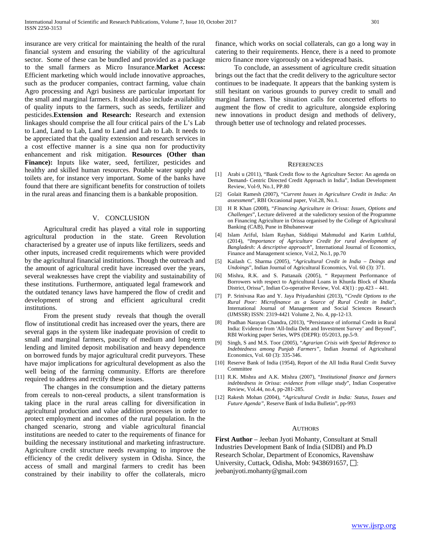insurance are very critical for maintaining the health of the rural financial system and ensuring the viability of the agricultural sector. Some of these can be bundled and provided as a package to the small farmers as Micro Insurance.**Market Access:** Efficient marketing which would include innovative approaches, such as the producer companies, contract farming, value chain Agro processing and Agri business are particular important for the small and marginal farmers. It should also include availability of quality inputs to the farmers, such as seeds, fertilizer and pesticides.**Extension and Research:** Research and extension linkages should comprise the all four critical pairs of the L's Lab to Land, Land to Lab, Land to Land and Lab to Lab. It needs to be appreciated that the quality extension and research services in a cost effective manner is a sine qua non for productivity enhancement and risk mitigation. **Resources (Other than Finance):** Inputs like water, seed, fertilizer, pesticides and healthy and skilled human resources. Potable water supply and toilets are, for instance very important. Some of the banks have found that there are significant benefits for construction of toilets in the rural areas and financing them is a bankable proposition.

#### V. CONCLUSION

 Agricultural credit has played a vital role in supporting agricultural production in the state. Green Revolution characterised by a greater use of inputs like fertilizers, seeds and other inputs, increased credit requirements which were provided by the agricultural financial institutions. Though the outreach and the amount of agricultural credit have increased over the years, several weaknesses have crept the viability and sustainability of these institutions. Furthermore, antiquated legal framework and the outdated tenancy laws have hampered the flow of credit and development of strong and efficient agricultural credit institutions.

 From the present study reveals that though the overall flow of institutional credit has increased over the years, there are several gaps in the system like inadequate provision of credit to small and marginal farmers, paucity of medium and long-term lending and limited deposit mobilisation and heavy dependence on borrowed funds by major agricultural credit purveyors. These have major implications for agricultural development as also the well being of the farming community. Efforts are therefore required to address and rectify these issues.

 The changes in the consumption and the dietary patterns from cereals to non-cereal products, a silent transformation is taking place in the rural areas calling for diversification in agricultural production and value addition processes in order to protect employment and incomes of the rural population. In the changed scenario, strong and viable agricultural financial institutions are needed to cater to the requirements of finance for building the necessary institutional and marketing infrastructure. Agriculture credit structure needs revamping to improve the efficiency of the credit delivery system in Odisha. Since, the access of small and marginal farmers to credit has been constrained by their inability to offer the collaterals, micro

finance, which works on social collaterals, can go a long way in catering to their requirements. Hence, there is a need to promote micro finance more vigorously on a widespread basis.

 To conclude, an assessment of agriculture credit situation brings out the fact that the credit delivery to the agriculture sector continues to be inadequate. It appears that the banking system is still hesitant on various grounds to purvey credit to small and marginal farmers. The situation calls for concerted efforts to augment the flow of credit to agriculture, alongside exploring new innovations in product design and methods of delivery, through better use of technology and related processes.

#### REFERENCES

- [1] Arabi u (2011), "Bank Credit flow to the Agriculture Sector: An agenda on Demand- Centric Directed Credit Approach in India", Indian Development Review, Vol-9, No.1, PP.80
- [2] Golait Ramesh (2007), "*Current Issues in Agriculture Credit in India: An assessment*", RBI Occasional paper, Vol.28, No.1.
- [3] H R Khan (2008), "*Financing Agriculture in Orissa: Issues, Options and Challenges*", Lecture delivered at the valedictory session of the Programme on Financing Agriculture in Orissa organised by the College of Agricultural Banking (CAB), Pune in Bhubaneswar
- [4] Islam Ariful, Islam Rayhan, Siddiqui Mahmudul and Karim Luthful, (2014), "*Importance of Agriculture Credit for rural development of Bangladesh: A descriptive approach*", International Journal of Economics, Finance and Management science, Vol.2, No.1, pp.70
- [5] Kailash C. Sharma (2005), "*Agricultural Credit in India – Doings and Undoings*", Indian Journal of Agricultural Economics, Vol. 60 (3): 371.
- [6] Mishra, R.K. and S. Pattanaik (2005), " Repayment Performance of Borrowers with respect to Agricultural Loans in Khurda Block of Khurda District, Orissa", Indian Co-operative Review, Vol. 43(1) : pp.423 – 441.
- [7] P. Srinivasa Rao and Y. Jaya Priyadarshini (2013), "*Credit Options to the Rural Poor: Microfinance as a Source of Rural Credit in India*", International Journal of Management and Social Sciences Research (IJMSSR) ISSN: 2319-4421 Volume 2, No. 4, pp-12-13.
- [8] Pradhan Narayan Chandra, (2013), "Persistance of informal Credit in Rural India: Evidence from 'All-India Debt and Investment Survey' and Beyond", RBI Working paper Series, WPS (DEPR): 05/2013, pp.5-9.
- [9] Singh, S and M.S. Toor (2005), "*Agrarian Crisis with Special Reference to Indebtedness among Punjab Farmers"*, Indian Journal of Agricultural Economics, Vol. 60 (3): 335-346.
- [10] Reserve Bank of India (1954), Report of the All India Rural Credit Survey Committee
- [11] R.K. Mishra and A.K. Mishra (2007), "*Institutional finance and farmers indebtedness in Orissa: evidence from village study*", Indian Cooperative Review, Vol.44, no.4, pp-281-285.
- [12] Rakesh Mohan (2004), "*Agricultural Credit in India: Status, Issues and Future Agenda"*, Reserve Bank of India Bulletin", pp-993

#### AUTHORS

**First Author** – Jeeban Jyoti Mohanty, Consultant at Small Industries Development Bank of India (SIDBI) and Ph.D Research Scholar, Department of Economics, Ravenshaw University, Cuttack, Odisha, Mob: 9438691657,  $\Box$ : jeebanjyoti.mohanty@gmail.com